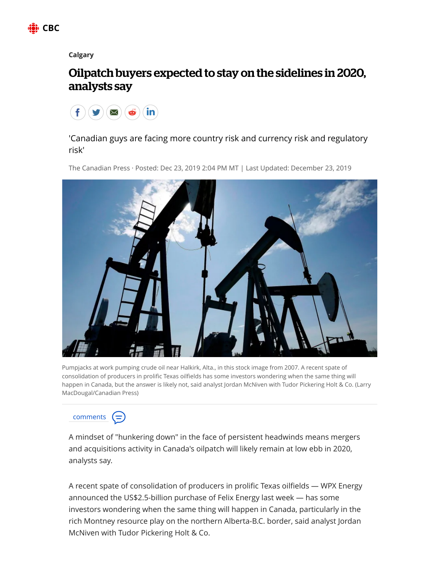

## **[Calgary](https://www.cbc.ca/news/canada/calgary)**

## Oilpatch buyers expected to stay on the sidelines in 2020, analysts say



'Canadian guys are facing more country risk and currency risk and regulatory risk'

The Canadian Press · Posted: Dec 23, 2019 2:04 PM MT | Last Updated: December 23, 2019



Pumpjacks at work pumping crude oil near Halkirk, Alta., in this stock image from 2007. A recent spate of consolidation of producers in prolific Texas oilfields has some investors wondering when the same thing will happen in Canada, but the answer is likely not, said analyst Jordan McNiven with Tudor Pickering Holt & Co. (Larry MacDougal/Canadian Press)



A mindset of "hunkering down" in the face of persistent headwinds means mergers and acquisitions activity in Canada's oilpatch will likely remain at low ebb in 2020, analysts say.

A recent spate of consolidation of producers in prolific Texas oilfields — WPX Energy announced the US\$2.5-billion purchase of Felix Energy last week — has some investors wondering when the same thing will happen in Canada, particularly in the rich Montney resource play on the northern Alberta-B.C. border, said analyst Jordan McNiven with Tudor Pickering Holt & Co.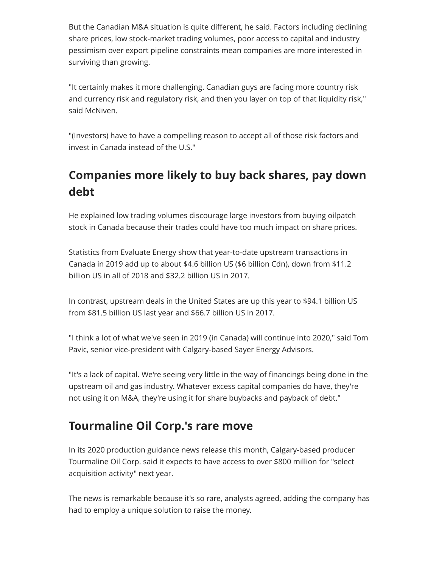But the Canadian M&A situation is quite different, he said. Factors including declining share prices, low stock-market trading volumes, poor access to capital and industry pessimism over export pipeline constraints mean companies are more interested in surviving than growing.

"It certainly makes it more challenging. Canadian guys are facing more country risk and currency risk and regulatory risk, and then you layer on top of that liquidity risk," said McNiven.

"(Investors) have to have a compelling reason to accept all of those risk factors and invest in Canada instead of the U.S."

## **Companies more likely to buy back shares, pay down debt**

He explained low trading volumes discourage large investors from buying oilpatch stock in Canada because their trades could have too much impact on share prices.

Statistics from Evaluate Energy show that year-to-date upstream transactions in Canada in 2019 add up to about \$4.6 billion US (\$6 billion Cdn), down from \$11.2 billion US in all of 2018 and \$32.2 billion US in 2017.

In contrast, upstream deals in the United States are up this year to \$94.1 billion US from \$81.5 billion US last year and \$66.7 billion US in 2017.

"I think a lot of what we've seen in 2019 (in Canada) will continue into 2020," said Tom Pavic, senior vice-president with Calgary-based Sayer Energy Advisors.

"It's a lack of capital. We're seeing very little in the way of financings being done in the upstream oil and gas industry. Whatever excess capital companies do have, they're not using it on M&A, they're using it for share buybacks and payback of debt."

## **Tourmaline Oil Corp.'s rare move**

In its 2020 production guidance news release this month, Calgary-based producer Tourmaline Oil Corp. said it expects to have access to over \$800 million for "select acquisition activity" next year.

The news is remarkable because it's so rare, analysts agreed, adding the company has had to employ a unique solution to raise the money.